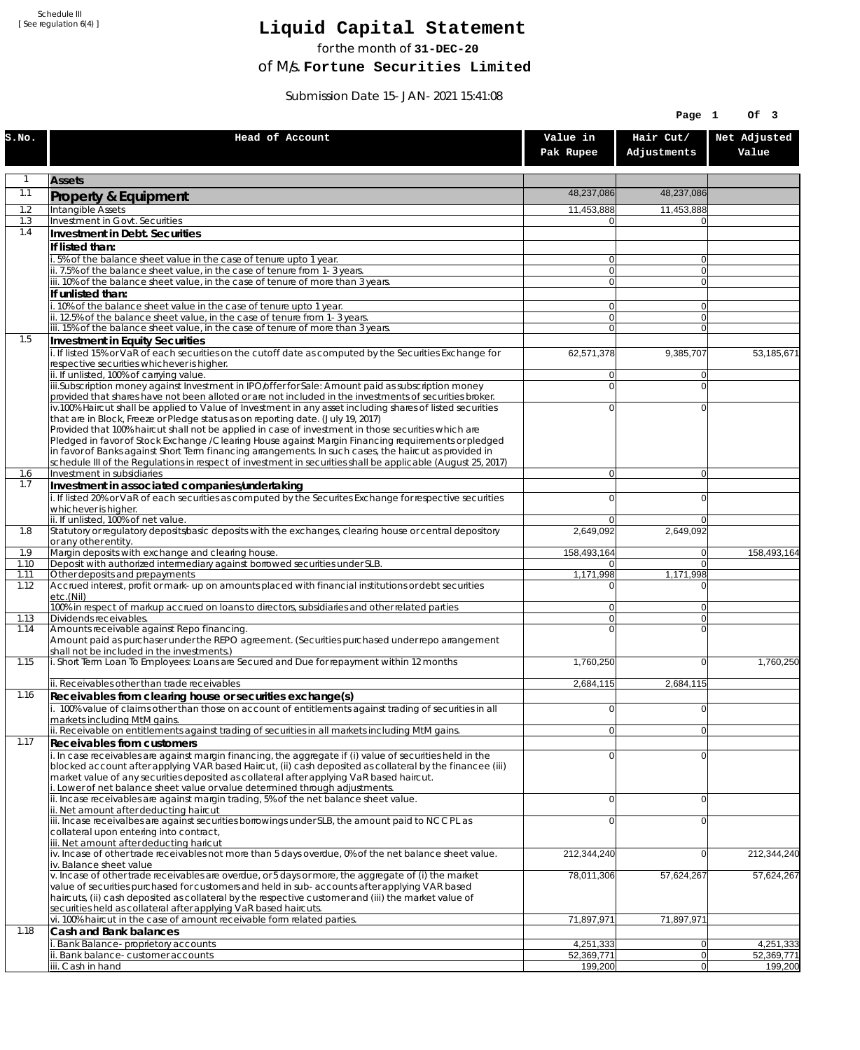Schedule III [ See regulation 6(4) ]

## **Liquid Capital Statement**

for the month of **31-DEC-20**

of M/s. **Fortune Securities Limited**

Submission Date 15-JAN-2021 15:41:08

|              |                                                                                                                                                                                                                        |                                  | Page 1                      | Of 3                    |
|--------------|------------------------------------------------------------------------------------------------------------------------------------------------------------------------------------------------------------------------|----------------------------------|-----------------------------|-------------------------|
| S.NO.        | Head of Account                                                                                                                                                                                                        | Value in<br>Pak Rupee            | Hair Cut/<br>Adjustments    | Net Adjusted<br>Value   |
| $\mathbf{1}$ | <b>Assets</b>                                                                                                                                                                                                          |                                  |                             |                         |
| 1.1          | Property & Equipment                                                                                                                                                                                                   | 48,237,086                       | 48,237,086                  |                         |
| 1.2          | Intangible Assets                                                                                                                                                                                                      | 11,453,888                       | 11,453,888                  |                         |
| 1.3<br>1.4   | Investment in Govt. Securities<br>Investment in Debt. Securities                                                                                                                                                       | $\Omega$                         | 0                           |                         |
|              | If listed than:                                                                                                                                                                                                        |                                  |                             |                         |
|              | i. 5% of the balance sheet value in the case of tenure upto 1 year.                                                                                                                                                    | $\Omega$                         | $\overline{0}$              |                         |
|              | ii. 7.5% of the balance sheet value, in the case of tenure from 1-3 years.<br>iii. 10% of the balance sheet value, in the case of tenure of more than 3 years.                                                         | $\overline{0}$<br>$\Omega$       | $\overline{0}$<br>$\Omega$  |                         |
|              | If unlisted than:                                                                                                                                                                                                      |                                  |                             |                         |
|              | i. 10% of the balance sheet value in the case of tenure upto 1 year.                                                                                                                                                   | $\Omega$                         | 0                           |                         |
|              | ii. 12.5% of the balance sheet value, in the case of tenure from 1-3 years.<br>iii. 15% of the balance sheet value, in the case of tenure of more than 3 years.                                                        | $\overline{0}$<br>$\overline{0}$ | $\overline{0}$<br>$\Omega$  |                         |
| 1.5          | Investment in Equity Securities                                                                                                                                                                                        |                                  |                             |                         |
|              | i. If listed 15% or VaR of each securities on the cutoff date as computed by the Securities Exchange for                                                                                                               | 62,571,378                       | 9,385,707                   | 53,185,671              |
|              | respective securities whichever is higher.<br>ii. If unlisted, 100% of carrying value.                                                                                                                                 | $\Omega$                         | 0                           |                         |
|              | iii.Subscription money against Investment in IPO/offer for Sale: Amount paid as subscription money                                                                                                                     | $\Omega$                         | $\Omega$                    |                         |
|              | provided that shares have not been alloted or are not included in the investments of securities broker.                                                                                                                | $\Omega$                         | $\Omega$                    |                         |
|              | iv.100% Haircut shall be applied to Value of Investment in any asset including shares of listed securities<br>that are in Block, Freeze or Pledge status as on reporting date. (July 19, 2017)                         |                                  |                             |                         |
|              | Provided that 100% haircut shall not be applied in case of investment in those securities which are                                                                                                                    |                                  |                             |                         |
|              | Pledged in favor of Stock Exchange / Clearing House against Margin Financing requirements or pledged<br>in favor of Banks against Short Term financing arrangements. In such cases, the haircut as provided in         |                                  |                             |                         |
|              | schedule III of the Regulations in respect of investment in securities shall be applicable (August 25, 2017)                                                                                                           |                                  |                             |                         |
| 1.6<br>1.7   | Investment in subsidiaries                                                                                                                                                                                             | $\Omega$                         | $\overline{0}$              |                         |
|              | Investment in associated companies/undertaking<br>i. If listed 20% or VaR of each securities as computed by the Securites Exchange for respective securities                                                           | $\Omega$                         | 0                           |                         |
|              | whichever is higher.                                                                                                                                                                                                   |                                  |                             |                         |
| 1.8          | ii. If unlisted, 100% of net value.<br>Statutory or regulatory deposits/basic deposits with the exchanges, clearing house or central depository                                                                        | $\Omega$<br>2,649,092            | $\Omega$<br>2,649,092       |                         |
|              | or any other entity.                                                                                                                                                                                                   |                                  |                             |                         |
| 1.9          | Margin deposits with exchange and clearing house.                                                                                                                                                                      | 158,493,164                      | $\overline{0}$              | 158,493,164             |
| 1.10<br>1.11 | Deposit with authorized intermediary against borrowed securities under SLB.<br>Other deposits and prepayments                                                                                                          | 0<br>1,171,998                   | $\overline{0}$<br>1,171,998 |                         |
| 1.12         | Accrued interest, profit or mark-up on amounts placed with financial institutions or debt securities<br>etc.(Nil)                                                                                                      | $\Omega$                         | 0                           |                         |
|              | 100% in respect of markup accrued on loans to directors, subsidiaries and other related parties                                                                                                                        | $\overline{0}$                   | 0                           |                         |
| 1.13         | Dividends receivables.                                                                                                                                                                                                 | $\overline{0}$                   | $\overline{0}$              |                         |
| 1.14         | Amounts receivable against Repo financing.<br>Amount paid as purchaser under the REPO agreement. (Securities purchased under repo arrangement                                                                          | $\Omega$                         | $\overline{0}$              |                         |
|              | shall not be included in the investments.)                                                                                                                                                                             |                                  |                             |                         |
| 1.15         | i. Short Term Loan To Employees: Loans are Secured and Due for repayment within 12 months                                                                                                                              | 1,760,250                        | $\Omega$                    | 1,760,250               |
|              | ii. Receivables other than trade receivables                                                                                                                                                                           | 2,684,115                        | 2,684,115                   |                         |
| 1.16         | Receivables from clearing house or securities exchange(s)                                                                                                                                                              |                                  |                             |                         |
|              | i. 100% value of claims other than those on account of entitlements against trading of securities in all<br>markets including MtM gains.                                                                               | $\Omega$                         | 0                           |                         |
|              | ii. Receivable on entitlements against trading of securities in all markets including MtM gains.                                                                                                                       | $\Omega$                         | $\overline{0}$              |                         |
| 1.17         | <b>Receivables from customers</b>                                                                                                                                                                                      |                                  |                             |                         |
|              | i. In case receivables are against margin financing, the aggregate if (i) value of securities held in the<br>blocked account after applying VAR based Haircut, (ii) cash deposited as collateral by the financee (iii) | $\Omega$                         | $\Omega$                    |                         |
|              | market value of any securities deposited as collateral after applying VaR based haircut.                                                                                                                               |                                  |                             |                         |
|              | i. Lower of net balance sheet value or value determined through adjustments.<br>ii. Incase receivables are against margin trading, 5% of the net balance sheet value.                                                  | $\Omega$                         | $\overline{0}$              |                         |
|              | ii. Net amount after deducting haircut                                                                                                                                                                                 |                                  |                             |                         |
|              | iii. Incase receivalbes are against securities borrowings under SLB, the amount paid to NCCPL as<br>collateral upon entering into contract,                                                                            | $\Omega$                         | 0                           |                         |
|              | iii. Net amount after deducting haricut                                                                                                                                                                                |                                  |                             |                         |
|              | $\overline{v}$ . Incase of other trade receivables not more than 5 days overdue, 0% of the net balance sheet value.                                                                                                    | 212,344,240                      | $\overline{0}$              | 212,344,240             |
|              | iv. Balance sheet value<br>v. Incase of other trade receivables are overdue, or 5 days or more, the aggregate of (i) the market                                                                                        | 78,011,306                       | 57,624,267                  | 57,624,267              |
|              | value of securities purchased for customers and held in sub-accounts after applying VAR based                                                                                                                          |                                  |                             |                         |
|              | haircuts, (ii) cash deposited as collateral by the respective customer and (iii) the market value of<br>securities held as collateral after applying VaR based haircuts.                                               |                                  |                             |                         |
|              | vi. 100% haircut in the case of amount receivable form related parties                                                                                                                                                 | 71,897,971                       | 71,897,971                  |                         |
| 1.18         | Cash and Bank balances                                                                                                                                                                                                 |                                  |                             |                         |
|              | i. Bank Balance-proprietory accounts<br>ii. Bank balance-customer accounts                                                                                                                                             | 4,251,333<br>52,369,771          | 0 <br>$\overline{0}$        | 4,251,333<br>52,369,771 |
|              | iii. Cash in hand                                                                                                                                                                                                      | 199,200                          | 0                           | 199,200                 |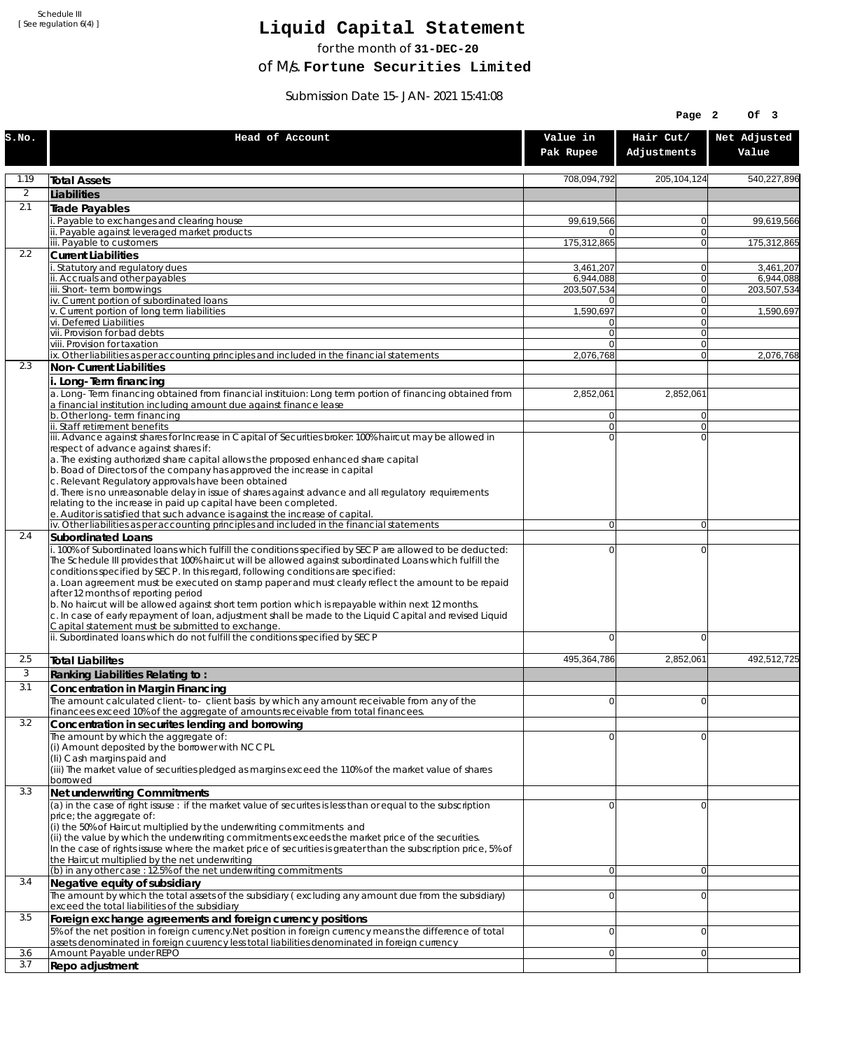Schedule III [ See regulation 6(4) ]

## **Liquid Capital Statement**

for the month of **31-DEC-20**

of M/s. **Fortune Securities Limited**

Submission Date 15-JAN-2021 15:41:08

|            |                                                                                                                                                                                                                                                                                                                                                                                                                                                                                                                                                                                                                                                                                                                              |                            | Page 2                        | Of 3                   |
|------------|------------------------------------------------------------------------------------------------------------------------------------------------------------------------------------------------------------------------------------------------------------------------------------------------------------------------------------------------------------------------------------------------------------------------------------------------------------------------------------------------------------------------------------------------------------------------------------------------------------------------------------------------------------------------------------------------------------------------------|----------------------------|-------------------------------|------------------------|
| S.NO.      | Head of Account                                                                                                                                                                                                                                                                                                                                                                                                                                                                                                                                                                                                                                                                                                              | Value in<br>Pak Rupee      | Hair Cut/<br>Adjustments      | Net Adjusted<br>Value  |
| 1.19       | <b>Total Assets</b>                                                                                                                                                                                                                                                                                                                                                                                                                                                                                                                                                                                                                                                                                                          | 708,094,792                | 205,104,124                   | 540.227.896            |
| 2          | Liabilities                                                                                                                                                                                                                                                                                                                                                                                                                                                                                                                                                                                                                                                                                                                  |                            |                               |                        |
| 2.1        | Trade Payables                                                                                                                                                                                                                                                                                                                                                                                                                                                                                                                                                                                                                                                                                                               |                            |                               |                        |
|            | i. Payable to exchanges and clearing house<br>ii. Payable against leveraged market products                                                                                                                                                                                                                                                                                                                                                                                                                                                                                                                                                                                                                                  | 99,619,566<br>$\Omega$     | 0<br>$\mathbf{0}$             | 99,619,566             |
|            | iii. Payable to customers                                                                                                                                                                                                                                                                                                                                                                                                                                                                                                                                                                                                                                                                                                    | 175,312,865                | 0                             | 175,312,865            |
| 2.2        | <b>Current Liabilities</b>                                                                                                                                                                                                                                                                                                                                                                                                                                                                                                                                                                                                                                                                                                   |                            |                               |                        |
|            | i. Statutory and regulatory dues<br>ii. Accruals and other payables                                                                                                                                                                                                                                                                                                                                                                                                                                                                                                                                                                                                                                                          | 3,461,207<br>6,944,088     | 0<br>$\mathbf{0}$             | 3,461,207<br>6,944,088 |
|            | iii. Short-term borrowings                                                                                                                                                                                                                                                                                                                                                                                                                                                                                                                                                                                                                                                                                                   | 203,507,534                | $\mathbf 0$                   | 203,507,534            |
|            | iv. Current portion of subordinated loans<br>v. Current portion of long term liabilities                                                                                                                                                                                                                                                                                                                                                                                                                                                                                                                                                                                                                                     | $\Omega$<br>1,590,697      | $\mathbf 0$<br>$\overline{0}$ | 1,590,697              |
|            | vi. Deferred Liabilities                                                                                                                                                                                                                                                                                                                                                                                                                                                                                                                                                                                                                                                                                                     | 0                          | $\mathbf 0$                   |                        |
|            | vii. Provision for bad debts                                                                                                                                                                                                                                                                                                                                                                                                                                                                                                                                                                                                                                                                                                 | $\overline{0}$             | $\mathbf{0}$                  |                        |
|            | viii. Provision for taxation<br>ix. Other liabilities as per accounting principles and included in the financial statements                                                                                                                                                                                                                                                                                                                                                                                                                                                                                                                                                                                                  | $\Omega$<br>2,076,768      | 0<br>$\mathbf{0}$             | 2,076,768              |
| 2.3        | <b>Non-Current Liabilities</b>                                                                                                                                                                                                                                                                                                                                                                                                                                                                                                                                                                                                                                                                                               |                            |                               |                        |
|            | i. Long-Term financing<br>a. Long-Term financing obtained from financial instituion: Long term portion of financing obtained from<br>a financial institution including amount due against finance lease                                                                                                                                                                                                                                                                                                                                                                                                                                                                                                                      | 2,852,061                  | 2,852,061                     |                        |
|            | b. Other long-term financing                                                                                                                                                                                                                                                                                                                                                                                                                                                                                                                                                                                                                                                                                                 | 0                          | $\overline{0}$                |                        |
|            | ii. Staff retirement benefits<br>iii. Advance against shares for Increase in Capital of Securities broker: 100% haircut may be allowed in                                                                                                                                                                                                                                                                                                                                                                                                                                                                                                                                                                                    | $\overline{0}$<br>$\Omega$ | 0<br>$\Omega$                 |                        |
|            | respect of advance against shares if:<br>a. The existing authorized share capital allows the proposed enhanced share capital<br>b. Boad of Directors of the company has approved the increase in capital<br>c. Relevant Regulatory approvals have been obtained<br>d. There is no unreasonable delay in issue of shares against advance and all regulatory requirements<br>relating to the increase in paid up capital have been completed.<br>e. Auditor is satisfied that such advance is against the increase of capital.                                                                                                                                                                                                 |                            |                               |                        |
| 2.4        | iv. Other liabilities as per accounting principles and included in the financial statements<br><b>Subordinated Loans</b>                                                                                                                                                                                                                                                                                                                                                                                                                                                                                                                                                                                                     | 0                          | $\overline{0}$                |                        |
|            | i. 100% of Subordinated loans which fulfill the conditions specified by SECP are allowed to be deducted:<br>The Schedule III provides that 100% haircut will be allowed against subordinated Loans which fulfill the<br>conditions specified by SECP. In this regard, following conditions are specified:<br>a. Loan agreement must be executed on stamp paper and must clearly reflect the amount to be repaid<br>after 12 months of reporting period<br>b. No haircut will be allowed against short term portion which is repayable within next 12 months.<br>c. In case of early repayment of loan, adjustment shall be made to the Liquid Capital and revised Liquid<br>Capital statement must be submitted to exchange. | 0                          | 0                             |                        |
|            | ii. Subordinated loans which do not fulfill the conditions specified by SECP                                                                                                                                                                                                                                                                                                                                                                                                                                                                                                                                                                                                                                                 | $\mathbf 0$                | 0                             |                        |
| 2.5        | <b>Total Liabilites</b>                                                                                                                                                                                                                                                                                                                                                                                                                                                                                                                                                                                                                                                                                                      | 495,364,786                | 2,852,061                     | 492.512.725            |
| 3          | Ranking Liabilities Relating to:                                                                                                                                                                                                                                                                                                                                                                                                                                                                                                                                                                                                                                                                                             |                            |                               |                        |
| 3.1        | Concentration in Margin Financing                                                                                                                                                                                                                                                                                                                                                                                                                                                                                                                                                                                                                                                                                            | ΩI                         | $\Omega$                      |                        |
|            | The amount calculated client-to- client basis by which any amount receivable from any of the<br>financees exceed 10% of the aggregate of amounts receivable from total financees.                                                                                                                                                                                                                                                                                                                                                                                                                                                                                                                                            |                            |                               |                        |
| 3.2        | Concentration in securites lending and borrowing                                                                                                                                                                                                                                                                                                                                                                                                                                                                                                                                                                                                                                                                             |                            |                               |                        |
|            | The amount by which the aggregate of:<br>(i) Amount deposited by the borrower with NCCPL<br>(Ii) Cash margins paid and<br>(iii) The market value of securities pledged as margins exceed the 110% of the market value of shares<br>borrowed                                                                                                                                                                                                                                                                                                                                                                                                                                                                                  | $\Omega$                   | 0                             |                        |
| 3.3        | Net underwriting Commitments                                                                                                                                                                                                                                                                                                                                                                                                                                                                                                                                                                                                                                                                                                 |                            |                               |                        |
|            | (a) in the case of right issuse : if the market value of securites is less than or equal to the subscription<br>price; the aggregate of:<br>(i) the 50% of Haircut multiplied by the underwriting commitments and<br>(ii) the value by which the underwriting commitments exceeds the market price of the securities.<br>In the case of rights issuse where the market price of securities is greater than the subscription price, 5% of<br>the Haircut multiplied by the net underwriting                                                                                                                                                                                                                                   | 0                          | 0                             |                        |
|            | (b) in any other case : 12.5% of the net underwriting commitments                                                                                                                                                                                                                                                                                                                                                                                                                                                                                                                                                                                                                                                            | 0                          | 0                             |                        |
| 3.4        | Negative equity of subsidiary<br>The amount by which the total assets of the subsidiary (excluding any amount due from the subsidiary)<br>exceed the total liabilities of the subsidiary                                                                                                                                                                                                                                                                                                                                                                                                                                                                                                                                     | $\overline{0}$             | 0                             |                        |
| 3.5        | Foreign exchange agreements and foreign currency positions<br>5% of the net position in foreign currency. Net position in foreign currency means the difference of total                                                                                                                                                                                                                                                                                                                                                                                                                                                                                                                                                     | $\Omega$                   | 0                             |                        |
|            | assets denominated in foreign cuurency less total liabilities denominated in foreign currency                                                                                                                                                                                                                                                                                                                                                                                                                                                                                                                                                                                                                                |                            |                               |                        |
| 3.6<br>3.7 | Amount Payable under REPO                                                                                                                                                                                                                                                                                                                                                                                                                                                                                                                                                                                                                                                                                                    | ٥l                         | 0                             |                        |
|            | Repo adjustment                                                                                                                                                                                                                                                                                                                                                                                                                                                                                                                                                                                                                                                                                                              |                            |                               |                        |